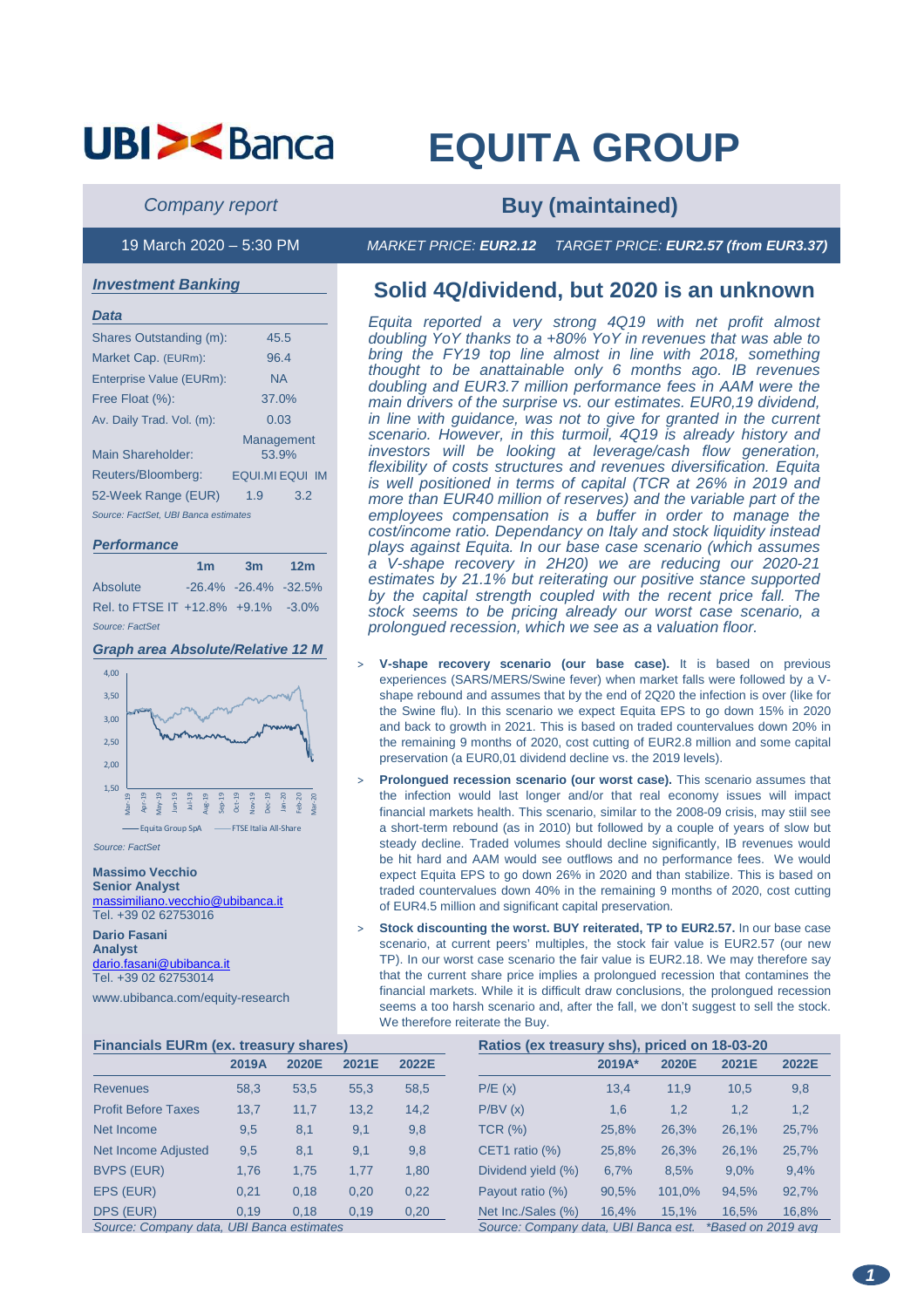# **EQUITA GROUP**

**Company report <b>Buy (maintained)** 

19 March 2020 – 5:30 PM MARKET PRICE: **EUR2.12** TARGET PRICE: **EUR2.57 (from EUR3.37)** 

### **Investment Banking**

| Data                                 |                     |  |  |  |
|--------------------------------------|---------------------|--|--|--|
| Shares Outstanding (m):              | 45.5                |  |  |  |
| Market Cap. (EURm):                  | 96.4                |  |  |  |
| Enterprise Value (EURm):             | <b>NA</b>           |  |  |  |
| Free Float (%):                      | 37.0%               |  |  |  |
| Av. Daily Trad. Vol. (m):            | 0.03                |  |  |  |
| Main Shareholder:                    | Management<br>53.9% |  |  |  |
| Reuters/Bloomberg:                   | EQUI.MI EQUI IM     |  |  |  |
| 52-Week Range (EUR)                  | 1.9<br>3.2          |  |  |  |
| Source: FactSet, UBI Banca estimates |                     |  |  |  |

### **Performance**

|                                    | 1 <sub>m</sub> | 3m 12m                    |  |
|------------------------------------|----------------|---------------------------|--|
| Absolute                           |                | $-26.4\% -26.4\% -32.5\%$ |  |
| Rel. to FTSE IT +12.8% +9.1% -3.0% |                |                           |  |
| Source: FactSet                    |                |                           |  |

## **Graph area Absolute/Relative 12 M**



**Massimo Vecchio Senior Analyst**  massimiliano.vecchio@ubibanca.it Tel. +39 02 62753016

**Dario Fasani Analyst**  dario.fasani@ubibanca.it Tel. +39 02 62753014

www.ubibanca.com/equity-research

# **Solid 4Q/dividend, but 2020 is an unknown**

Equita reported a very strong 4Q19 with net profit almost doubling YoY thanks to a +80% YoY in revenues that was able to bring the FY19 top line almost in line with 2018, something thought to be anattainable only 6 months ago. IB revenues doubling and EUR3.7 million performance fees in AAM were the main drivers of the surprise vs. our estimates. EUR0,19 dividend, in line with guidance, was not to give for granted in the current scenario. However, in this turmoil, 4Q19 is already history and investors will be looking at leverage/cash flow generation, flexibility of costs structures and revenues diversification. Equita is well positioned in terms of capital (TCR at 26% in 2019 and more than EUR40 million of reserves) and the variable part of the employees compensation is a buffer in order to manage the cost/income ratio. Dependancy on Italy and stock liquidity instead plays against Equita. In our base case scenario (which assumes a V-shape recovery in 2H20) we are reducing our 2020-21 estimates by 21.1% but reiterating our positive stance supported by the capital strength coupled with the recent price fall. The stock seems to be pricing already our worst case scenario, a prolongued recession, which we see as a valuation floor.

- V-shape recovery scenario (our base case). It is based on previous experiences (SARS/MERS/Swine fever) when market falls were followed by a Vshape rebound and assumes that by the end of 2Q20 the infection is over (like for the Swine flu). In this scenario we expect Equita EPS to go down 15% in 2020 and back to growth in 2021. This is based on traded countervalues down 20% in the remaining 9 months of 2020, cost cutting of EUR2.8 million and some capital preservation (a EUR0,01 dividend decline vs. the 2019 levels).
- **Prolongued recession scenario (our worst case).** This scenario assumes that the infection would last longer and/or that real economy issues will impact financial markets health. This scenario, similar to the 2008-09 crisis, may stiil see a short-term rebound (as in 2010) but followed by a couple of years of slow but steady decline. Traded volumes should decline significantly, IB revenues would be hit hard and AAM would see outflows and no performance fees. We would expect Equita EPS to go down 26% in 2020 and than stabilize. This is based on traded countervalues down 40% in the remaining 9 months of 2020, cost cutting of EUR4.5 million and significant capital preservation.
- **Stock discounting the worst. BUY reiterated, TP to EUR2.57.** In our base case scenario, at current peers' multiples, the stock fair value is EUR2.57 (our new TP). In our worst case scenario the fair value is EUR2.18. We may therefore say that the current share price implies a prolongued recession that contamines the financial markets. While it is difficult draw conclusions, the prolongued recession seems a too harsh scenario and, after the fall, we don't suggest to sell the stock. We therefore reiterate the Buy.

| <b>Financials EURm (ex. treasury shares)</b> |       |       | Ratios (ex treasury shs), priced on 18-03-20 |       |                    |                                                            |        |       |       |  |  |
|----------------------------------------------|-------|-------|----------------------------------------------|-------|--------------------|------------------------------------------------------------|--------|-------|-------|--|--|
|                                              | 2019A | 2020E | 2021E                                        | 2022E |                    | 2019A*                                                     | 2020E  | 2021E | 2022E |  |  |
| <b>Revenues</b>                              | 58.3  | 53,5  | 55,3                                         | 58,5  | P/E(x)             | 13.4                                                       | 11,9   | 10,5  | 9,8   |  |  |
| <b>Profit Before Taxes</b>                   | 13,7  | 11,7  | 13,2                                         | 14,2  | P/BV(x)            | 1,6                                                        | 1,2    | 1,2   | 1,2   |  |  |
| Net Income                                   | 9,5   | 8,1   | 9,1                                          | 9,8   | <b>TCR (%)</b>     | 25,8%                                                      | 26,3%  | 26,1% | 25,7% |  |  |
| Net Income Adjusted                          | 9,5   | 8,1   | 9,1                                          | 9,8   | CET1 ratio $(\%)$  | 25,8%                                                      | 26,3%  | 26.1% | 25,7% |  |  |
| <b>BVPS (EUR)</b>                            | 1.76  | 1.75  | 1.77                                         | 1.80  | Dividend yield (%) | 6.7%                                                       | 8.5%   | 9.0%  | 9,4%  |  |  |
| EPS (EUR)                                    | 0.21  | 0,18  | 0.20                                         | 0,22  | Payout ratio (%)   | 90,5%                                                      | 101.0% | 94,5% | 92,7% |  |  |
| DPS (EUR)                                    | 0.19  | 0.18  | 0.19                                         | 0,20  | Net Inc./Sales (%) | 16.4%                                                      | 15.1%  | 16.5% | 16,8% |  |  |
| Source: Company data, UBI Banca estimates    |       |       |                                              |       |                    | Source: Company data, UBI Banca est.<br>*Based on 2019 avg |        |       |       |  |  |

**1**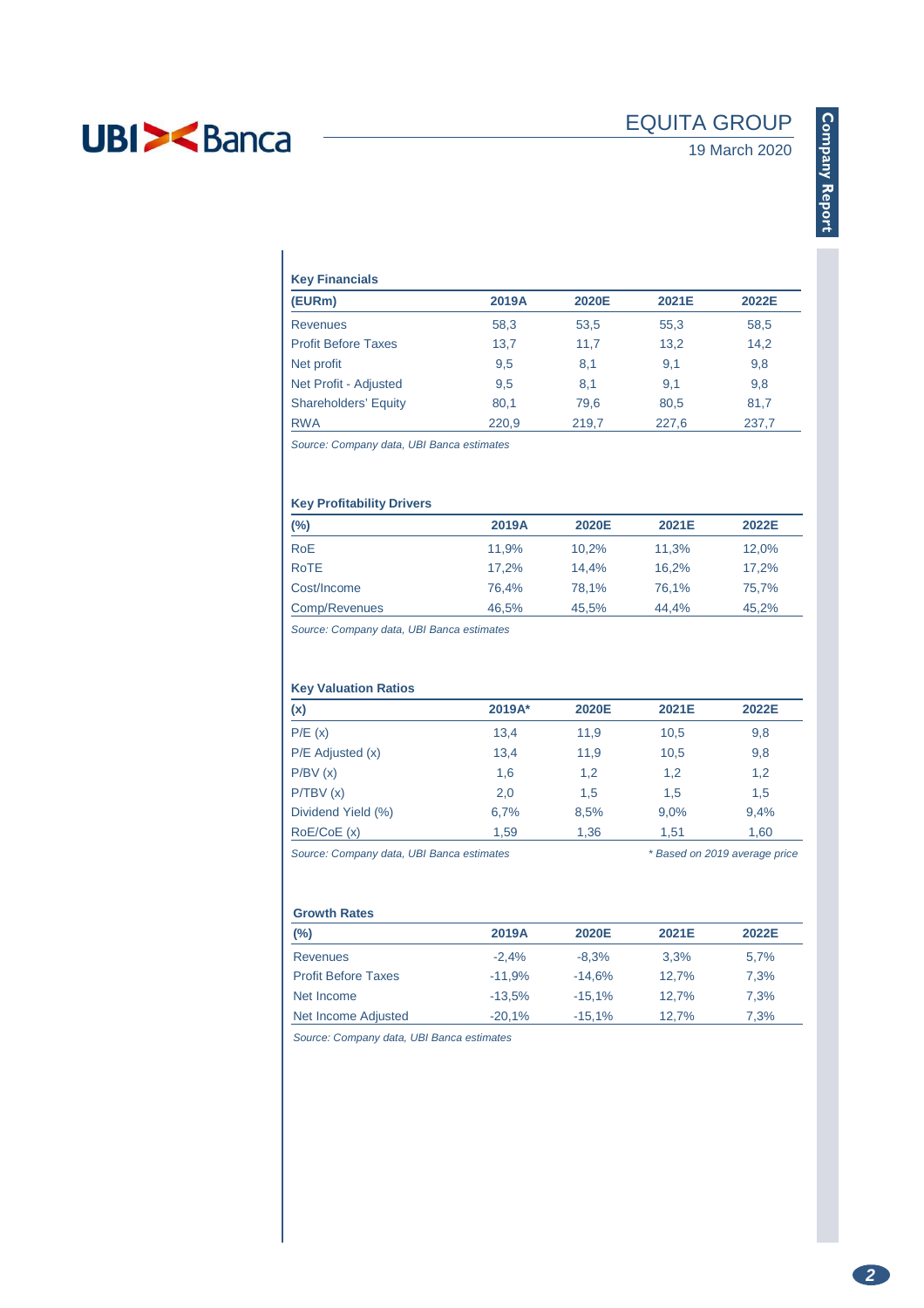# EQUITA GROUP

19 March 2020

## **Key Financials**

| (EURm)                      | 2019A | 2020E | 2021E | 2022E |  |  |  |  |  |  |  |
|-----------------------------|-------|-------|-------|-------|--|--|--|--|--|--|--|
| <b>Revenues</b>             | 58,3  | 53,5  | 55,3  | 58,5  |  |  |  |  |  |  |  |
| <b>Profit Before Taxes</b>  | 13,7  | 11,7  | 13,2  | 14,2  |  |  |  |  |  |  |  |
| Net profit                  | 9,5   | 8,1   | 9,1   | 9,8   |  |  |  |  |  |  |  |
| Net Profit - Adjusted       | 9,5   | 8,1   | 9,1   | 9,8   |  |  |  |  |  |  |  |
| <b>Shareholders' Equity</b> | 80,1  | 79,6  | 80,5  | 81,7  |  |  |  |  |  |  |  |
| <b>RWA</b>                  | 220.9 | 219.7 | 227.6 | 237.7 |  |  |  |  |  |  |  |

Source: Company data, UBI Banca estimates

## **Key Profitability Drivers**

| $(\%)$        | 2019A | 2020E | 2021E | 2022E |
|---------------|-------|-------|-------|-------|
| <b>RoE</b>    | 11.9% | 10.2% | 11.3% | 12.0% |
| <b>RoTE</b>   | 17.2% | 14.4% | 16.2% | 17.2% |
| Cost/Income   | 76.4% | 78.1% | 76.1% | 75.7% |
| Comp/Revenues | 46.5% | 45,5% | 44.4% | 45,2% |

Source: Company data, UBI Banca estimates

### **Key Valuation Ratios**

| (x)                  | 2019A* | 2020E | 2021E | 2022E |
|----------------------|--------|-------|-------|-------|
| P/E(x)               | 13,4   | 11,9  | 10,5  | 9,8   |
| $P/E$ Adjusted $(x)$ | 13,4   | 11,9  | 10,5  | 9,8   |
| P/BV(x)              | 1,6    | 1,2   | 1,2   | 1,2   |
| P/TBV(x)             | 2,0    | 1,5   | 1,5   | 1,5   |
| Dividend Yield (%)   | 6,7%   | 8,5%  | 9.0%  | 9,4%  |
| RoE/CoE(x)           | 1,59   | 1,36  | 1,51  | 1,60  |

Source: Company data, UBI Banca estimates \* \* Based on 2019 average price

### **Growth Rates**

| $(\%)$                     | 2019A    | 2020E     | 2021E | 2022E |
|----------------------------|----------|-----------|-------|-------|
| <b>Revenues</b>            | $-2.4%$  | $-8.3%$   | 3.3%  | 5,7%  |
| <b>Profit Before Taxes</b> | $-11.9%$ | $-14.6%$  | 12.7% | 7.3%  |
| Net Income                 | $-13.5%$ | $-15.1%$  | 12.7% | 7.3%  |
| Net Income Adjusted        | $-20,1%$ | $-15.1\%$ | 12,7% | 7.3%  |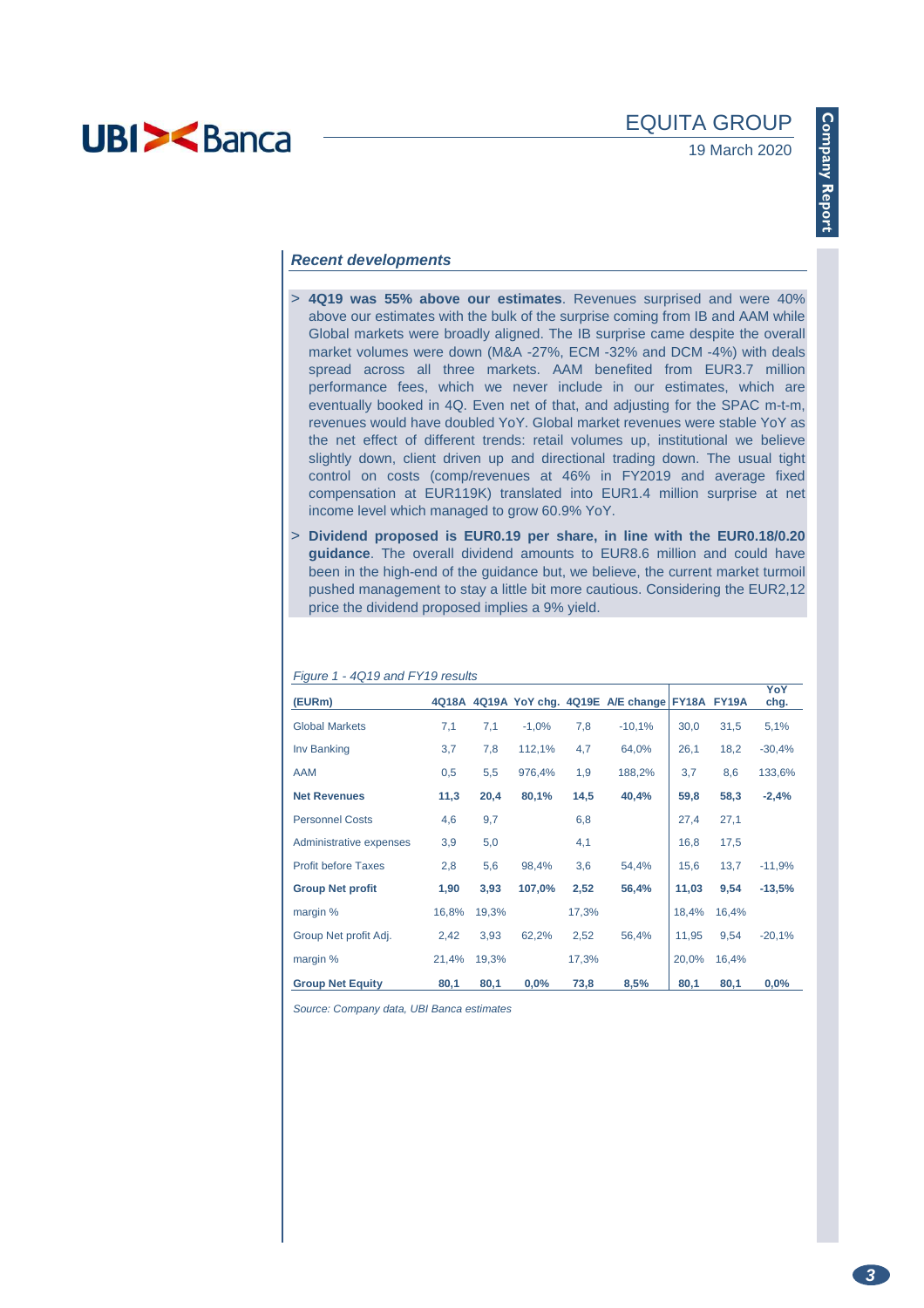### **Recent developments**

- > **4Q19 was 55% above our estimates**. Revenues surprised and were 40% above our estimates with the bulk of the surprise coming from IB and AAM while Global markets were broadly aligned. The IB surprise came despite the overall market volumes were down (M&A -27%, ECM -32% and DCM -4%) with deals spread across all three markets. AAM benefited from EUR3.7 million performance fees, which we never include in our estimates, which are eventually booked in 4Q. Even net of that, and adjusting for the SPAC m-t-m, revenues would have doubled YoY. Global market revenues were stable YoY as the net effect of different trends: retail volumes up, institutional we believe slightly down, client driven up and directional trading down. The usual tight control on costs (comp/revenues at 46% in FY2019 and average fixed compensation at EUR119K) translated into EUR1.4 million surprise at net income level which managed to grow 60.9% YoY.
- > **Dividend proposed is EUR0.19 per share, in line with the EUR0.18/0.20 guidance**. The overall dividend amounts to EUR8.6 million and could have been in the high-end of the guidance but, we believe, the current market turmoil pushed management to stay a little bit more cautious. Considering the EUR2,12 price the dividend proposed implies a 9% yield.

| $1.1$ yan $\sigma$ 1<br>$19.10$ and $1.10$ $100$ and<br>(EURm) | 4Q18A |       |         |       | 4Q19A YoY chg. 4Q19E A/E change FY18A FY19A |       |       | YoY<br>chg. |
|----------------------------------------------------------------|-------|-------|---------|-------|---------------------------------------------|-------|-------|-------------|
| <b>Global Markets</b>                                          | 7,1   | 7,1   | $-1,0%$ | 7,8   | $-10,1%$                                    | 30,0  | 31,5  | 5,1%        |
| Inv Banking                                                    | 3,7   | 7,8   | 112,1%  | 4,7   | 64,0%                                       | 26,1  | 18,2  | $-30,4%$    |
| <b>AAM</b>                                                     | 0,5   | 5,5   | 976,4%  | 1,9   | 188,2%                                      | 3,7   | 8,6   | 133,6%      |
| <b>Net Revenues</b>                                            | 11,3  | 20,4  | 80,1%   | 14,5  | 40,4%                                       | 59,8  | 58,3  | $-2,4%$     |
| <b>Personnel Costs</b>                                         | 4,6   | 9,7   |         | 6,8   |                                             | 27,4  | 27,1  |             |
| Administrative expenses                                        | 3,9   | 5,0   |         | 4,1   |                                             | 16,8  | 17,5  |             |
| <b>Profit before Taxes</b>                                     | 2,8   | 5,6   | 98,4%   | 3,6   | 54,4%                                       | 15,6  | 13,7  | $-11,9%$    |
| <b>Group Net profit</b>                                        | 1,90  | 3,93  | 107,0%  | 2,52  | 56,4%                                       | 11,03 | 9,54  | $-13,5%$    |
| margin %                                                       | 16,8% | 19,3% |         | 17,3% |                                             | 18,4% | 16,4% |             |
| Group Net profit Adj.                                          | 2,42  | 3,93  | 62,2%   | 2,52  | 56,4%                                       | 11,95 | 9,54  | $-20,1%$    |
| margin %                                                       | 21,4% | 19,3% |         | 17,3% |                                             | 20,0% | 16,4% |             |
| <b>Group Net Equity</b>                                        | 80,1  | 80,1  | 0,0%    | 73,8  | 8,5%                                        | 80,1  | 80,1  | $0.0\%$     |

 $F_{\text{full}}$   $\approx$  1 - 4010 and  $F_{\text{V}}$ 10 results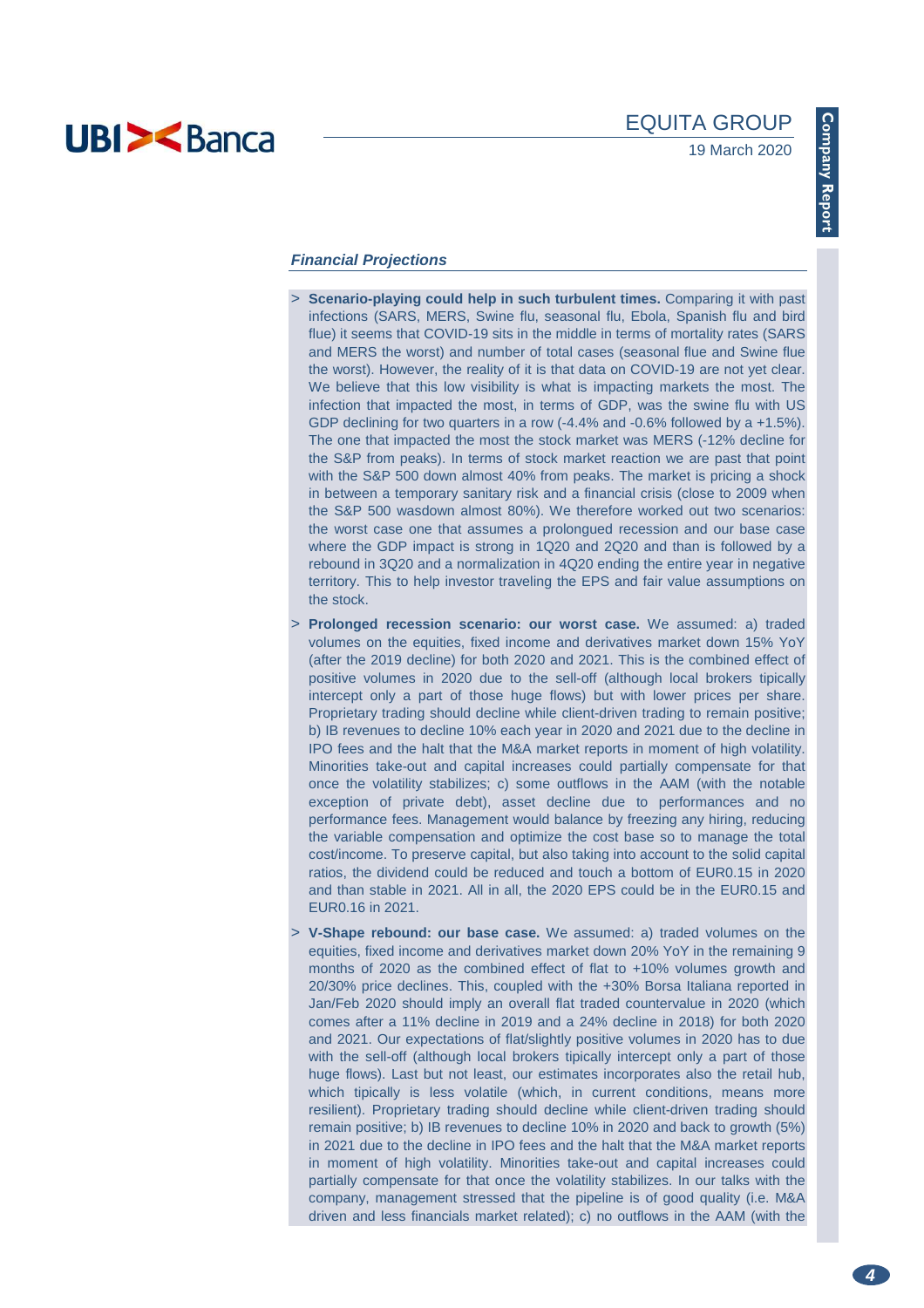

### **Financial Projections**

- > **Scenario-playing could help in such turbulent times.** Comparing it with past infections (SARS, MERS, Swine flu, seasonal flu, Ebola, Spanish flu and bird flue) it seems that COVID-19 sits in the middle in terms of mortality rates (SARS and MERS the worst) and number of total cases (seasonal flue and Swine flue the worst). However, the reality of it is that data on COVID-19 are not yet clear. We believe that this low visibility is what is impacting markets the most. The infection that impacted the most, in terms of GDP, was the swine flu with US GDP declining for two quarters in a row (-4.4% and -0.6% followed by a +1.5%). The one that impacted the most the stock market was MERS (-12% decline for the S&P from peaks). In terms of stock market reaction we are past that point with the S&P 500 down almost 40% from peaks. The market is pricing a shock in between a temporary sanitary risk and a financial crisis (close to 2009 when the S&P 500 wasdown almost 80%). We therefore worked out two scenarios: the worst case one that assumes a prolongued recession and our base case where the GDP impact is strong in 1Q20 and 2Q20 and than is followed by a rebound in 3Q20 and a normalization in 4Q20 ending the entire year in negative territory. This to help investor traveling the EPS and fair value assumptions on the stock.
- > **Prolonged recession scenario: our worst case.** We assumed: a) traded volumes on the equities, fixed income and derivatives market down 15% YoY (after the 2019 decline) for both 2020 and 2021. This is the combined effect of positive volumes in 2020 due to the sell-off (although local brokers tipically intercept only a part of those huge flows) but with lower prices per share. Proprietary trading should decline while client-driven trading to remain positive; b) IB revenues to decline 10% each year in 2020 and 2021 due to the decline in IPO fees and the halt that the M&A market reports in moment of high volatility. Minorities take-out and capital increases could partially compensate for that once the volatility stabilizes; c) some outflows in the AAM (with the notable exception of private debt), asset decline due to performances and no performance fees. Management would balance by freezing any hiring, reducing the variable compensation and optimize the cost base so to manage the total cost/income. To preserve capital, but also taking into account to the solid capital ratios, the dividend could be reduced and touch a bottom of EUR0.15 in 2020 and than stable in 2021. All in all, the 2020 EPS could be in the EUR0.15 and EUR0.16 in 2021.
- > **V-Shape rebound: our base case.** We assumed: a) traded volumes on the equities, fixed income and derivatives market down 20% YoY in the remaining 9 months of 2020 as the combined effect of flat to +10% volumes growth and 20/30% price declines. This, coupled with the +30% Borsa Italiana reported in Jan/Feb 2020 should imply an overall flat traded countervalue in 2020 (which comes after a 11% decline in 2019 and a 24% decline in 2018) for both 2020 and 2021. Our expectations of flat/slightly positive volumes in 2020 has to due with the sell-off (although local brokers tipically intercept only a part of those huge flows). Last but not least, our estimates incorporates also the retail hub, which tipically is less volatile (which, in current conditions, means more resilient). Proprietary trading should decline while client-driven trading should remain positive; b) IB revenues to decline 10% in 2020 and back to growth (5%) in 2021 due to the decline in IPO fees and the halt that the M&A market reports in moment of high volatility. Minorities take-out and capital increases could partially compensate for that once the volatility stabilizes. In our talks with the company, management stressed that the pipeline is of good quality (i.e. M&A driven and less financials market related); c) no outflows in the AAM (with the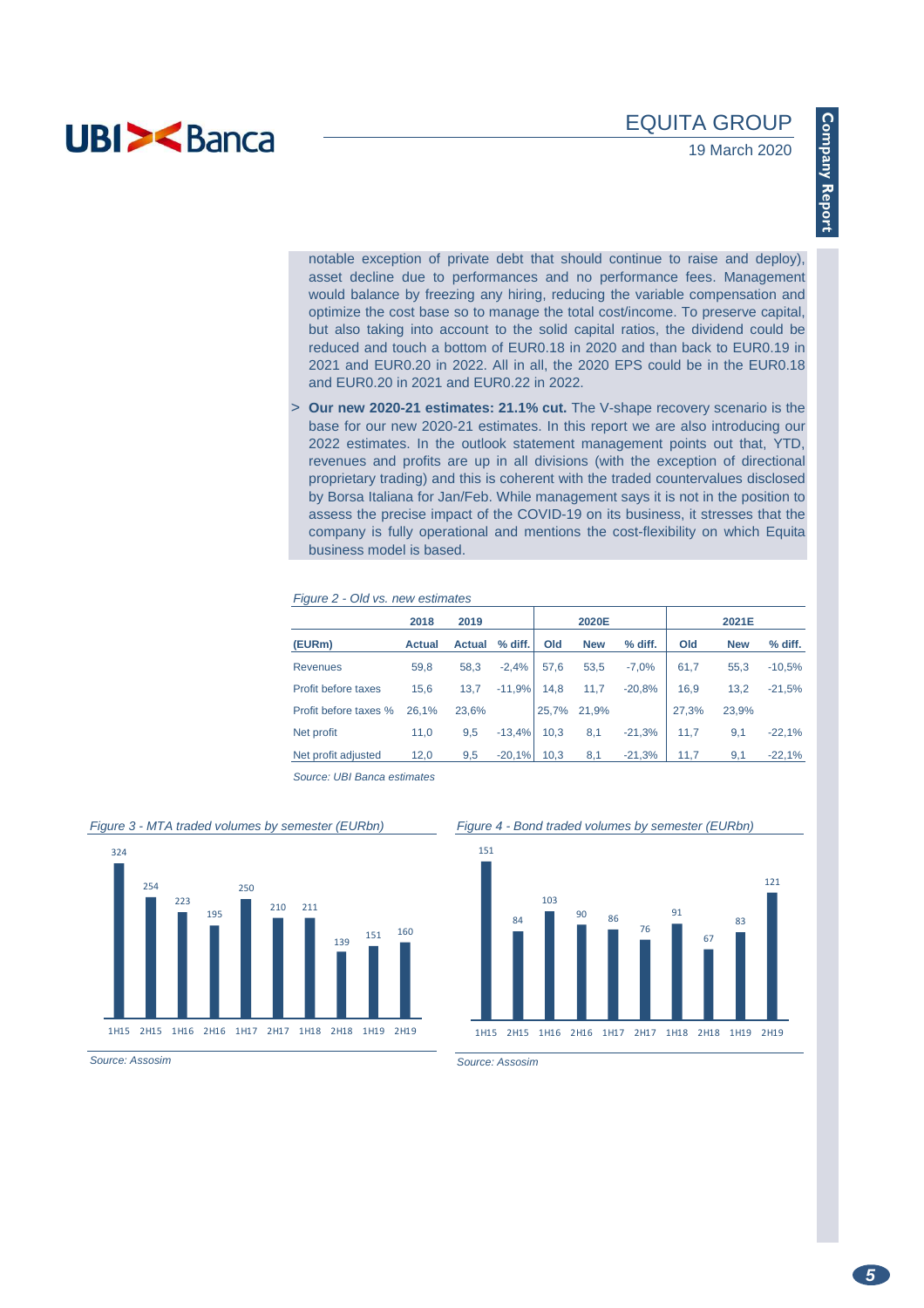notable exception of private debt that should continue to raise and deploy), asset decline due to performances and no performance fees. Management would balance by freezing any hiring, reducing the variable compensation and optimize the cost base so to manage the total cost/income. To preserve capital, but also taking into account to the solid capital ratios, the dividend could be reduced and touch a bottom of EUR0.18 in 2020 and than back to EUR0.19 in 2021 and EUR0.20 in 2022. All in all, the 2020 EPS could be in the EUR0.18 and EUR0.20 in 2021 and EUR0.22 in 2022.

> **Our new 2020-21 estimates: 21.1% cut.** The V-shape recovery scenario is the base for our new 2020-21 estimates. In this report we are also introducing our 2022 estimates. In the outlook statement management points out that, YTD, revenues and profits are up in all divisions (with the exception of directional proprietary trading) and this is coherent with the traded countervalues disclosed by Borsa Italiana for Jan/Feb. While management says it is not in the position to assess the precise impact of the COVID-19 on its business, it stresses that the company is fully operational and mentions the cost-flexibility on which Equita business model is based.

#### Figure 2 - Old vs. new estimates

|                       | 2018          | 2019          |          |       | 2020E      |          |       | 2021E      |          |  |  |
|-----------------------|---------------|---------------|----------|-------|------------|----------|-------|------------|----------|--|--|
| (EURm)                | <b>Actual</b> | <b>Actual</b> | % diff.  | Old   | <b>New</b> | % diff.  | Old   | <b>New</b> | % diff.  |  |  |
| Revenues              | 59,8          | 58,3          | $-2.4%$  | 57,6  | 53,5       | $-7.0%$  | 61,7  | 55.3       | $-10,5%$ |  |  |
| Profit before taxes   | 15,6          | 13,7          | $-11,9%$ | 14.8  | 11,7       | $-20.8%$ | 16,9  | 13,2       | $-21,5%$ |  |  |
| Profit before taxes % | 26.1%         | 23,6%         |          | 25,7% | 21.9%      |          | 27,3% | 23,9%      |          |  |  |
| Net profit            | 11,0          | 9,5           | $-13.4%$ | 10.3  | 8,1        | $-21,3%$ | 11,7  | 9,1        | $-22.1%$ |  |  |
| Net profit adjusted   | 12,0          | 9.5           | $-20.1%$ | 10.3  | 8,1        | $-21,3%$ | 11,7  | 9,1        | $-22,1%$ |  |  |

Source: UBI Banca estimates

#### Figure 3 - MTA traded volumes by semester (EURbn)



Figure 4 - Bond traded volumes by semester (EURbn)



Source: Assosim

Source: Assosim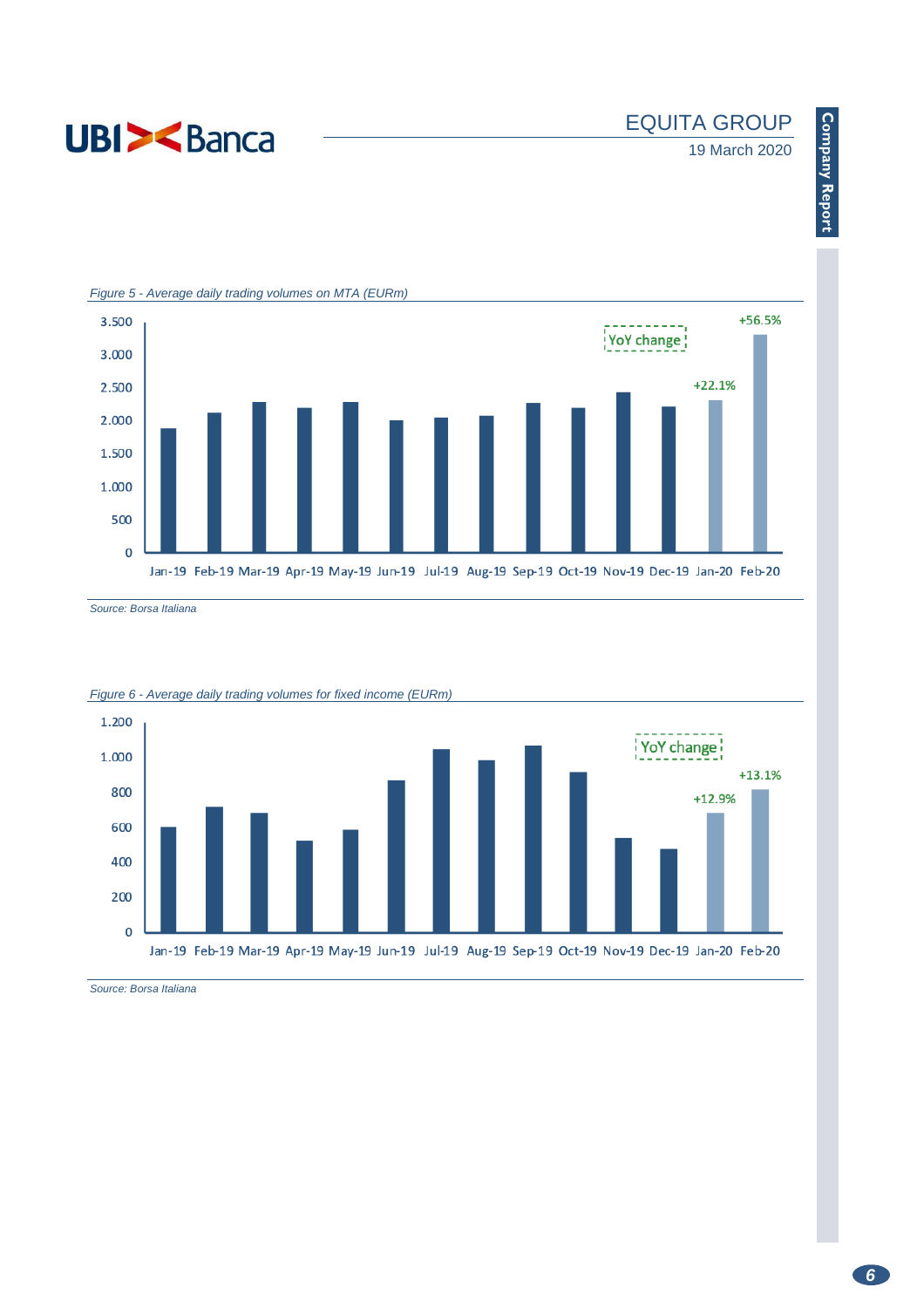

# EQUITA GROUP

# 19 March 2020



Source: Borsa Italiana





Source: Borsa Italiana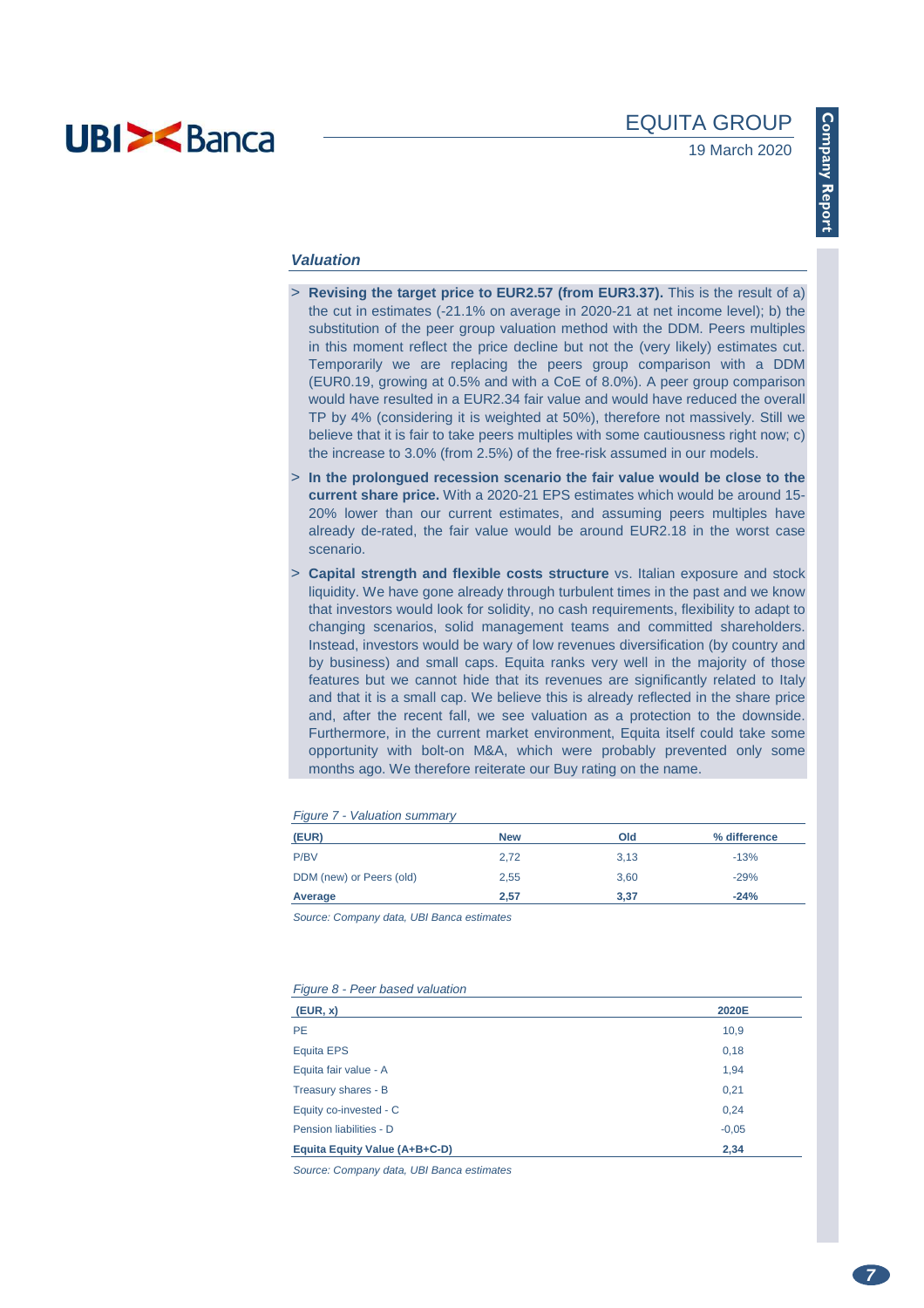

### **Valuation**

- > **Revising the target price to EUR2.57 (from EUR3.37).** This is the result of a) the cut in estimates (-21.1% on average in 2020-21 at net income level); b) the substitution of the peer group valuation method with the DDM. Peers multiples in this moment reflect the price decline but not the (very likely) estimates cut. Temporarily we are replacing the peers group comparison with a DDM (EUR0.19, growing at 0.5% and with a CoE of 8.0%). A peer group comparison would have resulted in a EUR2.34 fair value and would have reduced the overall TP by 4% (considering it is weighted at 50%), therefore not massively. Still we believe that it is fair to take peers multiples with some cautiousness right now; c) the increase to 3.0% (from 2.5%) of the free-risk assumed in our models.
- > **In the prolongued recession scenario the fair value would be close to the current share price.** With a 2020-21 EPS estimates which would be around 15- 20% lower than our current estimates, and assuming peers multiples have already de-rated, the fair value would be around EUR2.18 in the worst case scenario.
- > **Capital strength and flexible costs structure** vs. Italian exposure and stock liquidity. We have gone already through turbulent times in the past and we know that investors would look for solidity, no cash requirements, flexibility to adapt to changing scenarios, solid management teams and committed shareholders. Instead, investors would be wary of low revenues diversification (by country and by business) and small caps. Equita ranks very well in the majority of those features but we cannot hide that its revenues are significantly related to Italy and that it is a small cap. We believe this is already reflected in the share price and, after the recent fall, we see valuation as a protection to the downside. Furthermore, in the current market environment, Equita itself could take some opportunity with bolt-on M&A, which were probably prevented only some months ago. We therefore reiterate our Buy rating on the name.

| (EUR)                    | <b>New</b> | Old  | % difference |
|--------------------------|------------|------|--------------|
| P/BV                     | 2,72       | 3.13 | $-13%$       |
| DDM (new) or Peers (old) | 2,55       | 3.60 | $-29%$       |
| Average                  | 2,57       | 3,37 | $-24%$       |

 $F_{\text{current}}$   $7 \frac{1}{2}$   $\frac{1}{2}$ 

Source: Company data, UBI Banca estimates

#### Figure 8 - Peer based valuation

| (EUR, x)                      | 2020E   |
|-------------------------------|---------|
| <b>PE</b>                     | 10,9    |
| Equita EPS                    | 0,18    |
| Equita fair value - A         | 1,94    |
| Treasury shares - B           | 0,21    |
| Equity co-invested - C        | 0,24    |
| Pension liabilities - D       | $-0.05$ |
| Equita Equity Value (A+B+C-D) | 2,34    |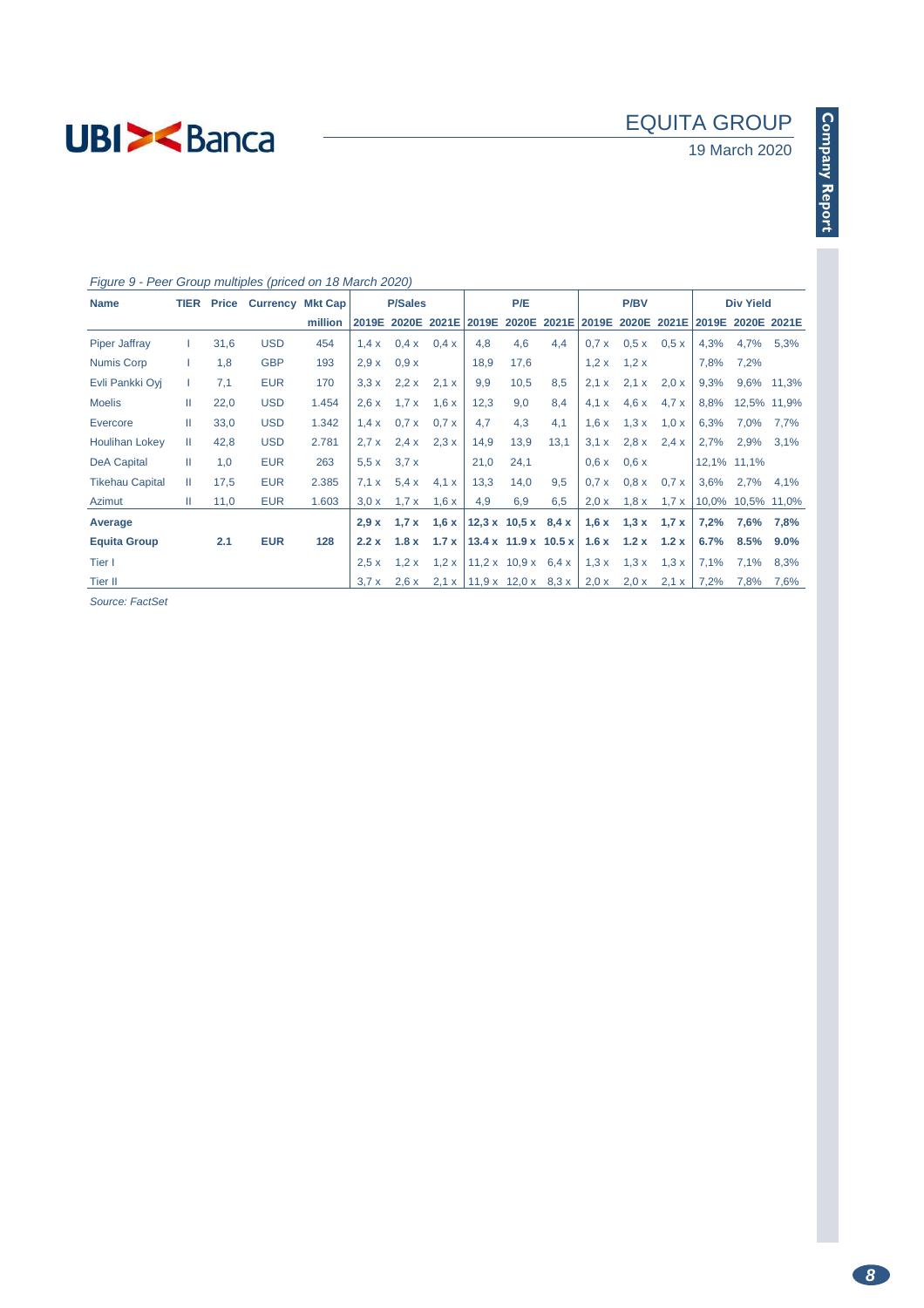# 19 March 2020

## Figure 9 - Peer Group multiples (priced on 18 March 2020)

| <b>Name</b>            | <b>TIER</b> | <b>Price</b> | <b>Currency Mkt Cap</b> |         |       | <b>P/Sales</b> |                         |      | P/E  |                                                       |              | <b>P/BV</b>                        |       |       | <b>Div Yield</b> |             |
|------------------------|-------------|--------------|-------------------------|---------|-------|----------------|-------------------------|------|------|-------------------------------------------------------|--------------|------------------------------------|-------|-------|------------------|-------------|
|                        |             |              |                         | million |       |                | 2019E 2020E 2021E       |      |      | 2019E 2020E 2021E 2019E 2020E 2021E 2019E 2020E 2021E |              |                                    |       |       |                  |             |
| <b>Piper Jaffray</b>   |             | 31,6         | <b>USD</b>              | 454     | 1.4x  | 0.4 x          | 0.4x                    | 4,8  | 4,6  | 4,4                                                   |              | $0.7 \times 0.5 \times 0.5 \times$ |       | 4,3%  | 4,7% 5,3%        |             |
| <b>Numis Corp</b>      |             | 1,8          | <b>GBP</b>              | 193     | 2.9x  | 0.9x           |                         | 18,9 | 17,6 |                                                       |              | $1,2 \times 1,2 \times$            |       | 7,8%  | 7,2%             |             |
| Evli Pankki Ovi        |             | 7,1          | <b>EUR</b>              | 170     | 3.3x  | $2,2 \times$   | 2.1 x                   | 9,9  | 10,5 | 8,5                                                   | 2.1 x        | 2.1 x                              | 2,0 x | 9,3%  |                  | 9,6% 11,3%  |
| <b>Moelis</b>          | Ш           | 22,0         | <b>USD</b>              | 1.454   | 2,6x  | 1.7x           | 1,6x                    | 12,3 | 9,0  | 8,4                                                   | 4.1 x        | 4.6x                               | 4.7 x | 8,8%  | 12,5% 11,9%      |             |
| Evercore               | Ш           | 33,0         | <b>USD</b>              | 1.342   | 1.4x  | 0.7x           | 0.7 x                   | 4,7  | 4,3  | 4,1                                                   | 1,6x         | 1.3x                               | 1,0x  | 6,3%  | 7,0%             | 7,7%        |
| <b>Houlihan Lokey</b>  | Ш           | 42,8         | <b>USD</b>              | 2.781   | 2.7x  | 2.4 x          | 2.3x                    | 14,9 | 13,9 | 13,1                                                  | 3.1 x        | $2,8 \times$                       | 2.4 x | 2,7%  | 2,9%             | 3,1%        |
| <b>DeA Capital</b>     | Ш           | 1,0          | <b>EUR</b>              | 263     | 5.5x  | 3.7x           |                         | 21,0 | 24,1 |                                                       | 0.6x         | 0.6x                               |       |       | 12,1% 11,1%      |             |
| <b>Tikehau Capital</b> | Ш           | 17,5         | <b>EUR</b>              | 2.385   | 7.1 x | 5.4x           | 4.1 x                   | 13,3 | 14,0 | 9,5                                                   | 0.7x         | 0.8 x                              | 0.7 x | 3,6%  | 2,7%             | 4,1%        |
| Azimut                 | Ш           | 11,0         | <b>EUR</b>              | 1.603   | 3.0 x | 1.7x           | 1,6x                    | 4,9  | 6,9  | 6,5                                                   | $2,0 \times$ | 1,8x                               | 1.7 x | 10,0% |                  | 10,5% 11,0% |
| Average                |             |              |                         |         | 2.9x  |                | $1.7 \times 1.6 \times$ |      |      | 12,3 x 10,5 x 8,4 x                                   |              | $1,6 \times 1,3 \times 1,7 \times$ |       | 7,2%  | 7,6%             | 7,8%        |
| <b>Equita Group</b>    |             | 2.1          | <b>EUR</b>              | 128     | 2.2x  | 1.8x           | $1.7 \times$            |      |      | $13.4 \times 11.9 \times 10.5 \times$                 |              | $1.6x$ $1.2x$ $1.2x$               |       | 6.7%  | $8.5\%$          | $9.0\%$     |
| Tier I                 |             |              |                         |         | 2.5x  | 1,2x           | 1,2x                    |      |      | $11,2 \times 10,9 \times 6,4 \times$                  | 1,3x         | 1,3x                               | 1,3x  | 7,1%  | 7,1%             | 8,3%        |
| Tier II                |             |              |                         |         | 3.7x  | 2,6x           | $2,1 \times$            |      |      | $11,9 \times 12,0 \times 8,3 \times$                  | 2,0x         | $2,0 \times$                       | 2,1 x | 7,2%  | 7,8%             | 7,6%        |

Source: FactSet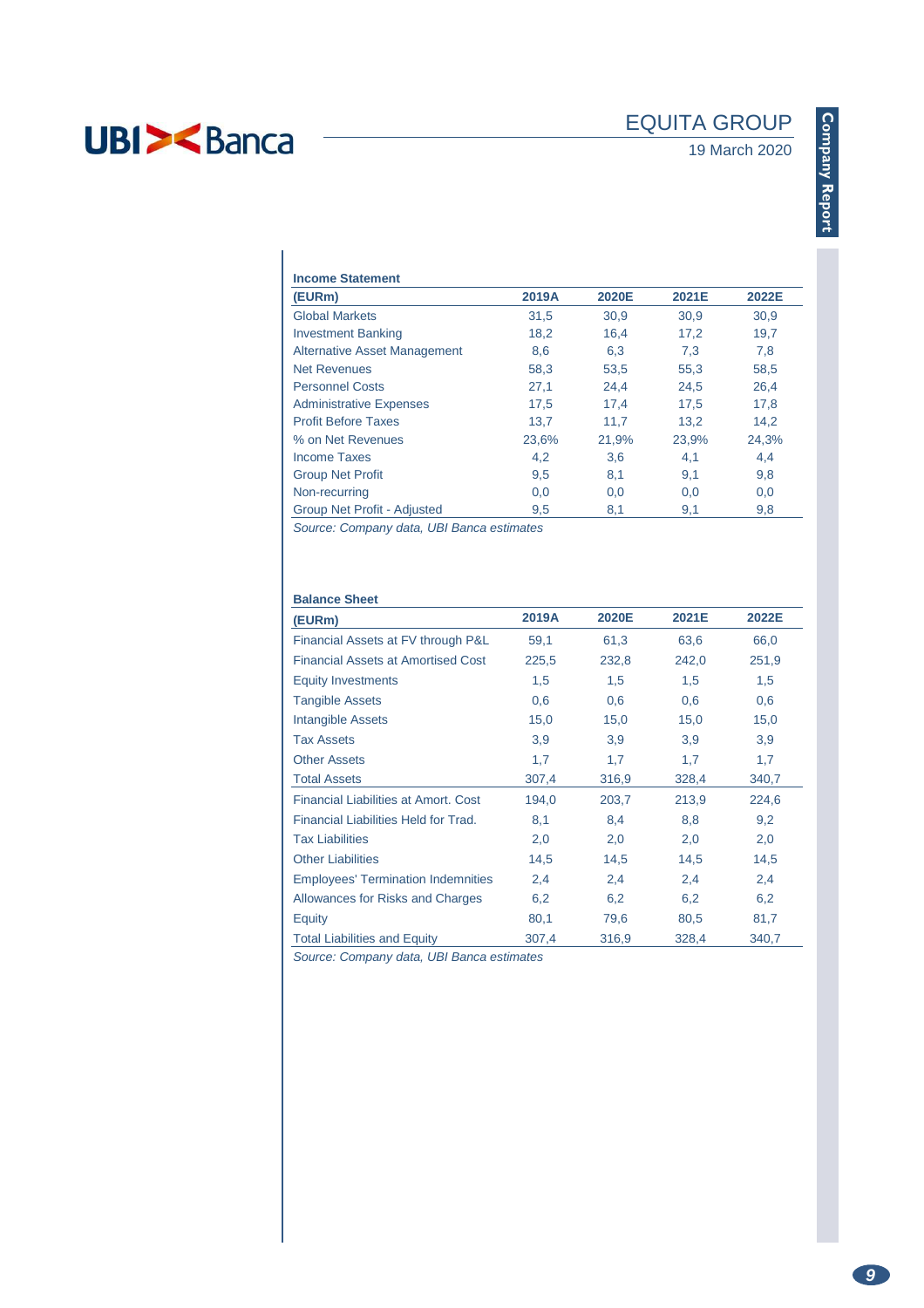| <b>Income Statement</b>             |       |       |       |       |  |
|-------------------------------------|-------|-------|-------|-------|--|
| (EURm)                              | 2019A | 2020E | 2021E | 2022E |  |
| <b>Global Markets</b>               | 31,5  | 30,9  | 30,9  | 30,9  |  |
| <b>Investment Banking</b>           | 18,2  | 16.4  | 17,2  | 19,7  |  |
| <b>Alternative Asset Management</b> | 8,6   | 6,3   | 7,3   | 7,8   |  |
| <b>Net Revenues</b>                 | 58,3  | 53,5  | 55,3  | 58,5  |  |
| <b>Personnel Costs</b>              | 27,1  | 24,4  | 24,5  | 26,4  |  |
| <b>Administrative Expenses</b>      | 17,5  | 17.4  | 17.5  | 17,8  |  |
| <b>Profit Before Taxes</b>          | 13,7  | 11,7  | 13,2  | 14,2  |  |
| % on Net Revenues                   | 23,6% | 21,9% | 23,9% | 24,3% |  |
| Income Taxes                        | 4,2   | 3,6   | 4,1   | 4,4   |  |
| <b>Group Net Profit</b>             | 9,5   | 8,1   | 9,1   | 9,8   |  |
| Non-recurring                       | 0,0   | 0,0   | 0,0   | 0,0   |  |
| Group Net Profit - Adjusted         | 9,5   | 8,1   | 9,1   | 9,8   |  |

Source: Company data, UBI Banca estimates

| <b>Balance Sheet</b>                        |       |       |       |       |
|---------------------------------------------|-------|-------|-------|-------|
| (EURm)                                      | 2019A | 2020E | 2021E | 2022E |
| Financial Assets at FV through P&L          | 59,1  | 61,3  | 63,6  | 66,0  |
| <b>Financial Assets at Amortised Cost</b>   | 225,5 | 232,8 | 242,0 | 251,9 |
| <b>Equity Investments</b>                   | 1,5   | 1,5   | 1,5   | 1,5   |
| <b>Tangible Assets</b>                      | 0,6   | 0,6   | 0,6   | 0,6   |
| Intangible Assets                           | 15,0  | 15,0  | 15,0  | 15,0  |
| <b>Tax Assets</b>                           | 3,9   | 3,9   | 3,9   | 3,9   |
| <b>Other Assets</b>                         | 1,7   | 1,7   | 1,7   | 1,7   |
| <b>Total Assets</b>                         | 307,4 | 316,9 | 328,4 | 340,7 |
| <b>Financial Liabilities at Amort, Cost</b> | 194,0 | 203,7 | 213,9 | 224,6 |
| Financial Liabilities Held for Trad.        | 8,1   | 8,4   | 8,8   | 9,2   |
| <b>Tax Liabilities</b>                      | 2,0   | 2,0   | 2,0   | 2,0   |
| <b>Other Liabilities</b>                    | 14,5  | 14,5  | 14,5  | 14,5  |
| <b>Employees' Termination Indemnities</b>   | 2,4   | 2,4   | 2,4   | 2,4   |
| Allowances for Risks and Charges            | 6,2   | 6,2   | 6,2   | 6,2   |
| Equity                                      | 80,1  | 79,6  | 80,5  | 81,7  |
| <b>Total Liabilities and Equity</b>         | 307,4 | 316,9 | 328,4 | 340,7 |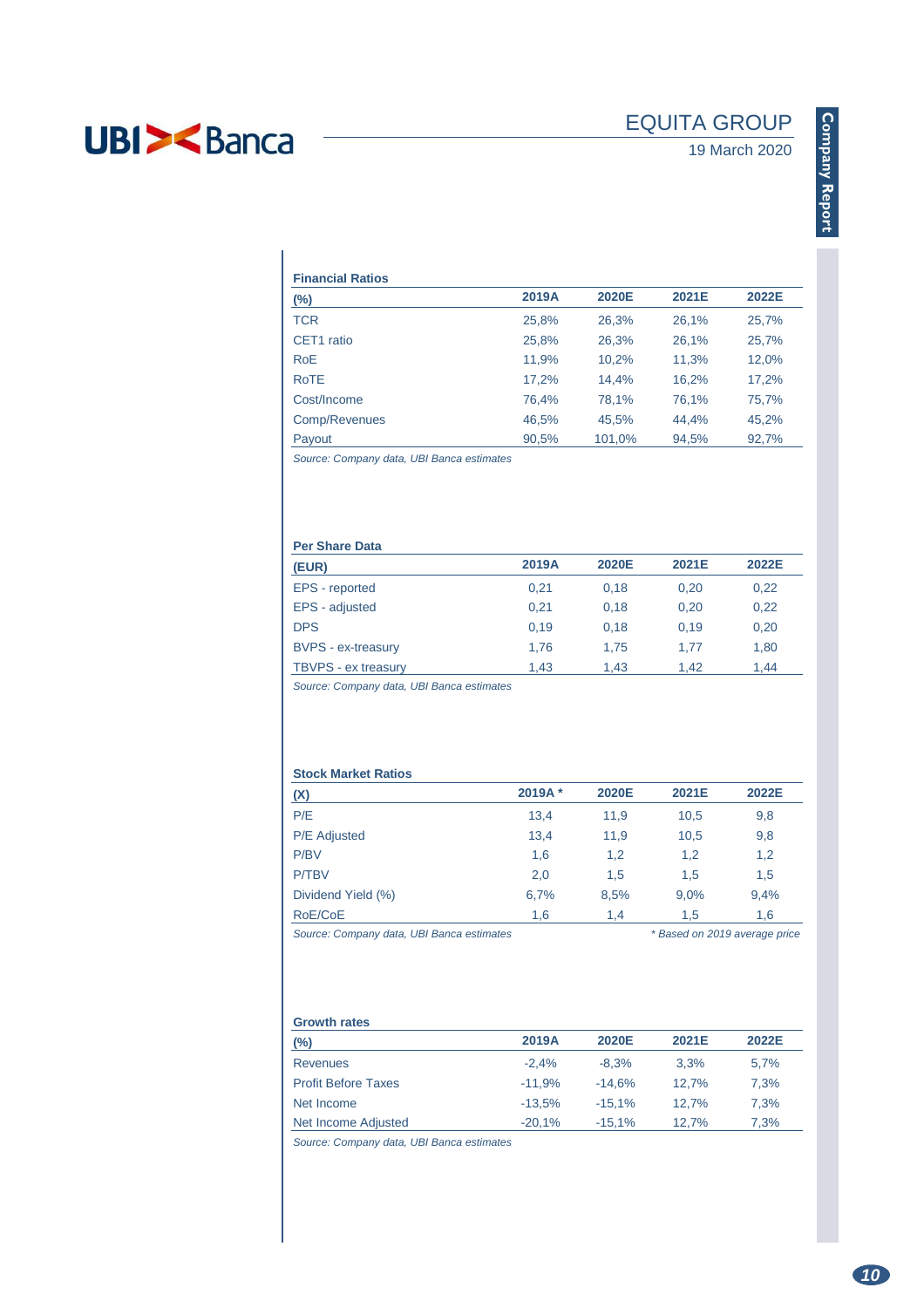## EQUITA GROUP

## 19 March 2020

| <b>Financial Ratios</b>                                 |       |        |       |       |
|---------------------------------------------------------|-------|--------|-------|-------|
| (%)                                                     | 2019A | 2020E  | 2021E | 2022E |
| TCR                                                     | 25,8% | 26,3%  | 26,1% | 25,7% |
| CET1 ratio                                              | 25,8% | 26,3%  | 26,1% | 25,7% |
| RoE                                                     | 11,9% | 10,2%  | 11,3% | 12,0% |
| <b>RoTE</b>                                             | 17,2% | 14,4%  | 16,2% | 17,2% |
| Cost/Income                                             | 76,4% | 78,1%  | 76,1% | 75,7% |
| Comp/Revenues                                           | 46,5% | 45,5%  | 44,4% | 45,2% |
| Payout                                                  | 90,5% | 101,0% | 94,5% | 92,7% |
| $\sim$ $\sim$ $\sim$ $\sim$ $\sim$ $\sim$ $\sim$ $\sim$ |       |        |       |       |

Source: Company data, UBI Banca estimates

### **Per Share Data**

| (EUR)                     | 2019A | 2020E | 2021E | 2022E |
|---------------------------|-------|-------|-------|-------|
| EPS - reported            | 0.21  | 0.18  | 0.20  | 0,22  |
| EPS - adjusted            | 0.21  | 0.18  | 0.20  | 0,22  |
| <b>DPS</b>                | 0.19  | 0.18  | 0.19  | 0,20  |
| <b>BVPS</b> - ex-treasury | 1.76  | 1.75  | 1.77  | 1,80  |
| TBVPS - ex treasury       | 1.43  | 1.43  | 1.42  | 1.44  |

Source: Company data, UBI Banca estimates

### **Stock Market Ratios**

| (X)                 | 2019A* | 2020E | 2021E | 2022E |
|---------------------|--------|-------|-------|-------|
| P/E                 | 13.4   | 11,9  | 10,5  | 9,8   |
| <b>P/E</b> Adjusted | 13,4   | 11,9  | 10,5  | 9,8   |
| P/BV                | 1,6    | 1,2   | 1,2   | 1,2   |
| <b>P/TBV</b>        | 2,0    | 1,5   | 1.5   | 1,5   |
| Dividend Yield (%)  | 6,7%   | 8,5%  | 9,0%  | 9,4%  |
| RoE/CoE             | 1,6    | 1.4   | 1.5   | 1.6   |

Source: Company data, UBI Banca estimates \* Based on 2019 average price

### **Growth rates**

| (%)                        | 2019A    | 2020E    | 2021E | 2022E |
|----------------------------|----------|----------|-------|-------|
| <b>Revenues</b>            | $-2.4%$  | $-8.3%$  | 3.3%  | 5.7%  |
| <b>Profit Before Taxes</b> | $-11.9%$ | $-14.6%$ | 12.7% | 7.3%  |
| Net Income                 | $-13.5%$ | $-15.1%$ | 12.7% | 7,3%  |
| Net Income Adjusted        | $-20.1%$ | $-15.1%$ | 12.7% | 7,3%  |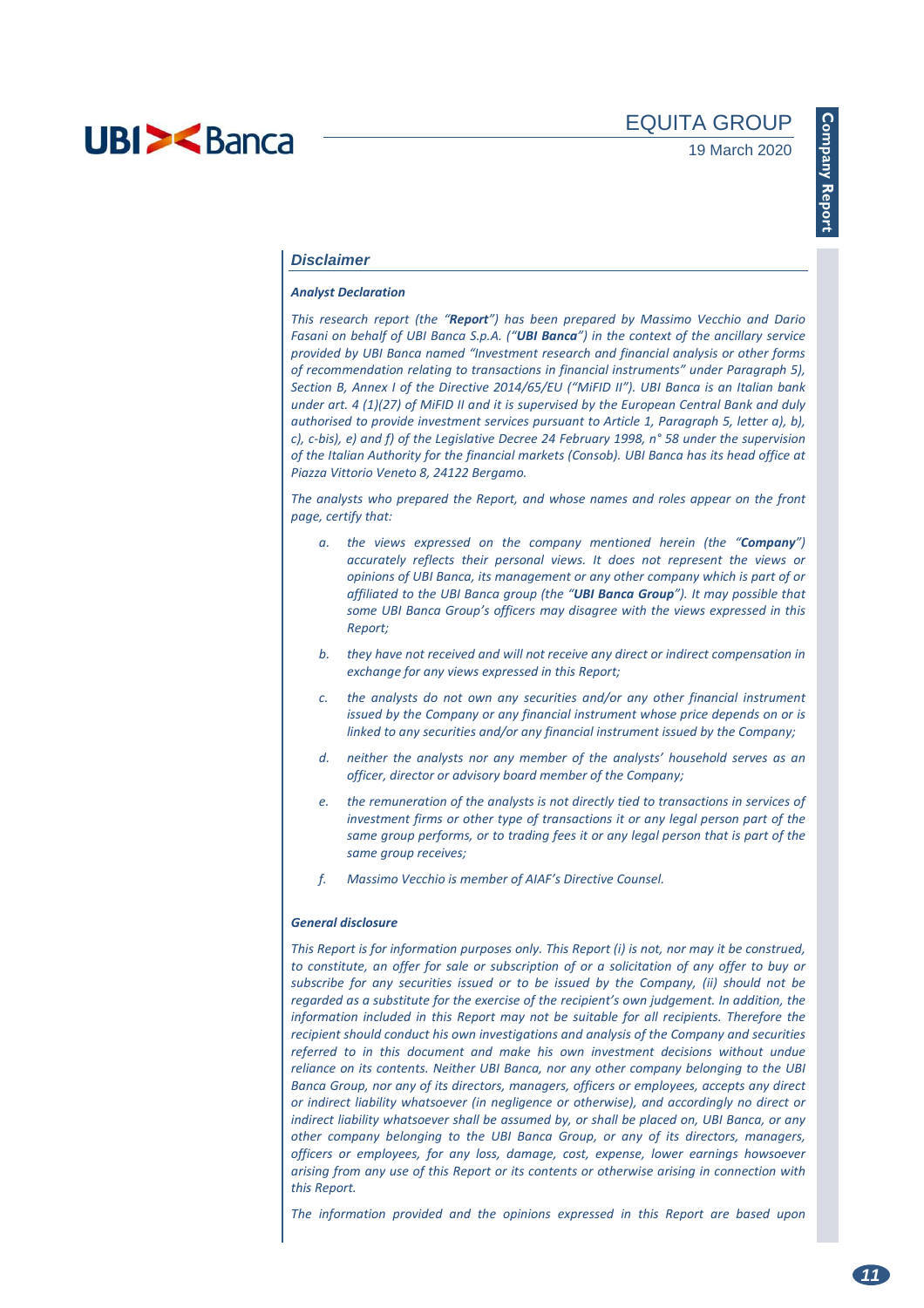### **Disclaimer**

#### *Analyst Declaration*

*This research report (the "Report") has been prepared by Massimo Vecchio and Dario Fasani on behalf of UBI Banca S.p.A. ("UBI Banca") in the context of the ancillary service provided by UBI Banca named "Investment research and financial analysis or other forms of recommendation relating to transactions in financial instruments" under Paragraph 5), Section B, Annex I of the Directive 2014/65/EU ("MiFID II"). UBI Banca is an Italian bank under art. 4 (1)(27) of MiFID II and it is supervised by the European Central Bank and duly authorised to provide investment services pursuant to Article 1, Paragraph 5, letter a), b), c), c-bis), e) and f) of the Legislative Decree 24 February 1998, n° 58 under the supervision of the Italian Authority for the financial markets (Consob). UBI Banca has its head office at Piazza Vittorio Veneto 8, 24122 Bergamo.* 

*The analysts who prepared the Report, and whose names and roles appear on the front page, certify that:* 

- *a. the views expressed on the company mentioned herein (the "Company") accurately reflects their personal views. It does not represent the views or opinions of UBI Banca, its management or any other company which is part of or affiliated to the UBI Banca group (the "UBI Banca Group"). It may possible that some UBI Banca Group's officers may disagree with the views expressed in this Report;*
- *b. they have not received and will not receive any direct or indirect compensation in exchange for any views expressed in this Report;*
- *c. the analysts do not own any securities and/or any other financial instrument issued by the Company or any financial instrument whose price depends on or is linked to any securities and/or any financial instrument issued by the Company;*
- *d. neither the analysts nor any member of the analysts' household serves as an officer, director or advisory board member of the Company;*
- *e. the remuneration of the analysts is not directly tied to transactions in services of investment firms or other type of transactions it or any legal person part of the same group performs, or to trading fees it or any legal person that is part of the same group receives;*
- *f. Massimo Vecchio is member of AIAF's Directive Counsel.*

#### *General disclosure*

*This Report is for information purposes only. This Report (i) is not, nor may it be construed, to constitute, an offer for sale or subscription of or a solicitation of any offer to buy or subscribe for any securities issued or to be issued by the Company, (ii) should not be regarded as a substitute for the exercise of the recipient's own judgement. In addition, the information included in this Report may not be suitable for all recipients. Therefore the recipient should conduct his own investigations and analysis of the Company and securities referred to in this document and make his own investment decisions without undue reliance on its contents. Neither UBI Banca, nor any other company belonging to the UBI Banca Group, nor any of its directors, managers, officers or employees, accepts any direct or indirect liability whatsoever (in negligence or otherwise), and accordingly no direct or indirect liability whatsoever shall be assumed by, or shall be placed on, UBI Banca, or any other company belonging to the UBI Banca Group, or any of its directors, managers, officers or employees, for any loss, damage, cost, expense, lower earnings howsoever arising from any use of this Report or its contents or otherwise arising in connection with this Report.* 

*The information provided and the opinions expressed in this Report are based upon*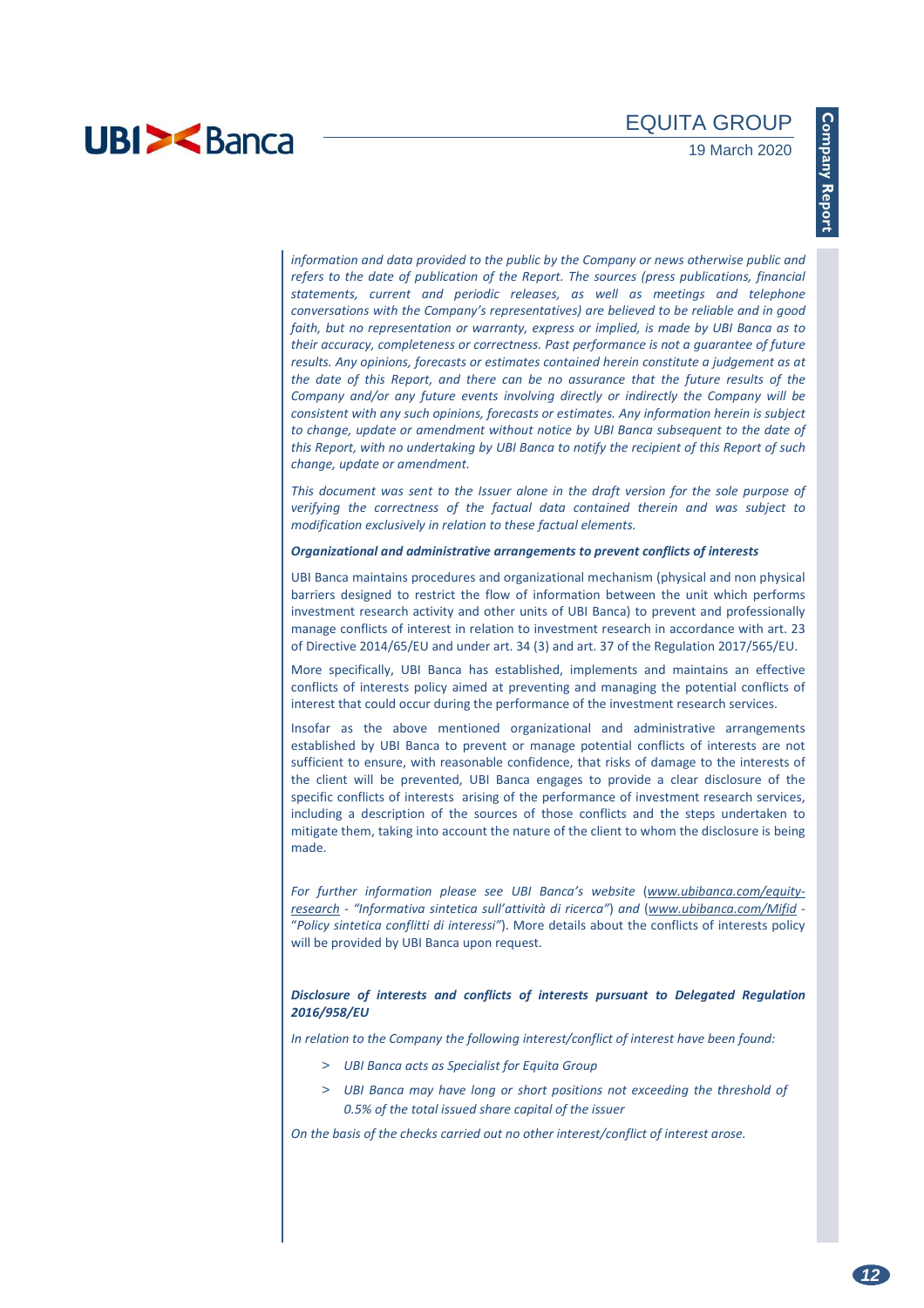*information and data provided to the public by the Company or news otherwise public and refers to the date of publication of the Report. The sources (press publications, financial statements, current and periodic releases, as well as meetings and telephone conversations with the Company's representatives) are believed to be reliable and in good faith, but no representation or warranty, express or implied, is made by UBI Banca as to their accuracy, completeness or correctness. Past performance is not a guarantee of future results. Any opinions, forecasts or estimates contained herein constitute a judgement as at the date of this Report, and there can be no assurance that the future results of the Company and/or any future events involving directly or indirectly the Company will be consistent with any such opinions, forecasts or estimates. Any information herein is subject to change, update or amendment without notice by UBI Banca subsequent to the date of this Report, with no undertaking by UBI Banca to notify the recipient of this Report of such change, update or amendment.* 

*This document was sent to the Issuer alone in the draft version for the sole purpose of verifying the correctness of the factual data contained therein and was subject to modification exclusively in relation to these factual elements.* 

### *Organizational and administrative arrangements to prevent conflicts of interests*

UBI Banca maintains procedures and organizational mechanism (physical and non physical barriers designed to restrict the flow of information between the unit which performs investment research activity and other units of UBI Banca) to prevent and professionally manage conflicts of interest in relation to investment research in accordance with art. 23 of Directive 2014/65/EU and under art. 34 (3) and art. 37 of the Regulation 2017/565/EU.

More specifically, UBI Banca has established, implements and maintains an effective conflicts of interests policy aimed at preventing and managing the potential conflicts of interest that could occur during the performance of the investment research services.

Insofar as the above mentioned organizational and administrative arrangements established by UBI Banca to prevent or manage potential conflicts of interests are not sufficient to ensure, with reasonable confidence, that risks of damage to the interests of the client will be prevented, UBI Banca engages to provide a clear disclosure of the specific conflicts of interests arising of the performance of investment research services, including a description of the sources of those conflicts and the steps undertaken to mitigate them, taking into account the nature of the client to whom the disclosure is being made.

For further information please see UBI Banca's website (www.ubibanca.com/equity*research - "Informativa sintetica sull'attività di ricerca"*) *and* (*www.ubibanca.com/Mifid* - "*Policy sintetica conflitti di interessi"*). More details about the conflicts of interests policy will be provided by UBI Banca upon request.

### *Disclosure of interests and conflicts of interests pursuant to Delegated Regulation 2016/958/EU*

*In relation to the Company the following interest/conflict of interest have been found:* 

- > *UBI Banca acts as Specialist for Equita Group*
- > *UBI Banca may have long or short positions not exceeding the threshold of 0.5% of the total issued share capital of the issuer*

*On the basis of the checks carried out no other interest/conflict of interest arose.*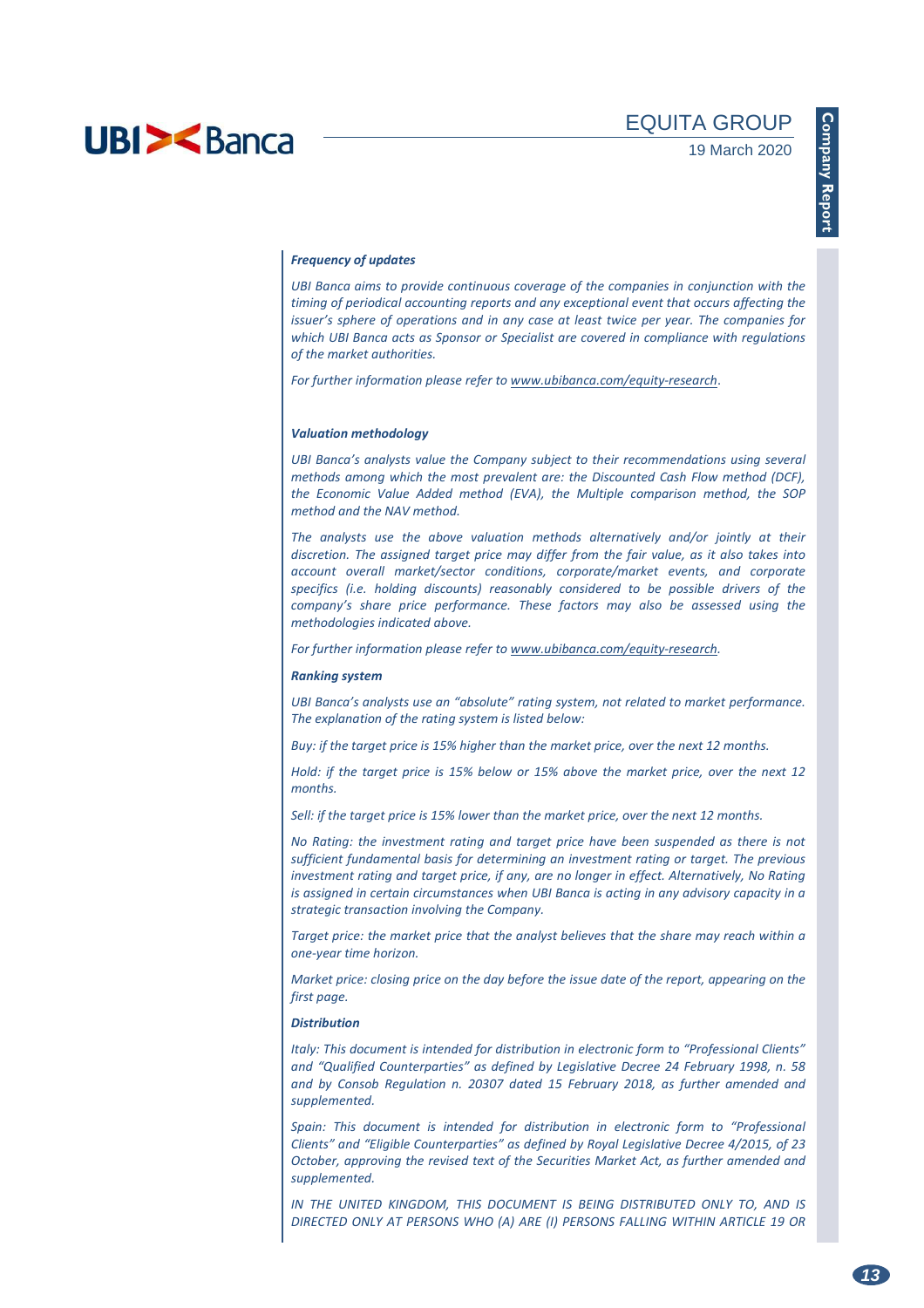#### *Frequency of updates*

*UBI Banca aims to provide continuous coverage of the companies in conjunction with the timing of periodical accounting reports and any exceptional event that occurs affecting the issuer's sphere of operations and in any case at least twice per year. The companies for which UBI Banca acts as Sponsor or Specialist are covered in compliance with regulations of the market authorities.* 

*For further information please refer to www.ubibanca.com/equity-research*.

### *Valuation methodology*

*UBI Banca's analysts value the Company subject to their recommendations using several methods among which the most prevalent are: the Discounted Cash Flow method (DCF), the Economic Value Added method (EVA), the Multiple comparison method, the SOP method and the NAV method.* 

*The analysts use the above valuation methods alternatively and/or jointly at their discretion. The assigned target price may differ from the fair value, as it also takes into account overall market/sector conditions, corporate/market events, and corporate specifics (i.e. holding discounts) reasonably considered to be possible drivers of the company's share price performance. These factors may also be assessed using the methodologies indicated above.* 

*For further information please refer to www.ubibanca.com/equity-research.* 

### *Ranking system*

*UBI Banca's analysts use an "absolute" rating system, not related to market performance. The explanation of the rating system is listed below:* 

*Buy: if the target price is 15% higher than the market price, over the next 12 months.* 

*Hold: if the target price is 15% below or 15% above the market price, over the next 12 months.* 

*Sell: if the target price is 15% lower than the market price, over the next 12 months.* 

*No Rating: the investment rating and target price have been suspended as there is not sufficient fundamental basis for determining an investment rating or target. The previous investment rating and target price, if any, are no longer in effect. Alternatively, No Rating is assigned in certain circumstances when UBI Banca is acting in any advisory capacity in a strategic transaction involving the Company.* 

*Target price: the market price that the analyst believes that the share may reach within a one-year time horizon.* 

*Market price: closing price on the day before the issue date of the report, appearing on the first page.* 

#### *Distribution*

*Italy: This document is intended for distribution in electronic form to "Professional Clients" and "Qualified Counterparties" as defined by Legislative Decree 24 February 1998, n. 58 and by Consob Regulation n. 20307 dated 15 February 2018, as further amended and supplemented.* 

*Spain: This document is intended for distribution in electronic form to "Professional Clients" and "Eligible Counterparties" as defined by Royal Legislative Decree 4/2015, of 23 October, approving the revised text of the Securities Market Act, as further amended and supplemented.* 

*IN THE UNITED KINGDOM, THIS DOCUMENT IS BEING DISTRIBUTED ONLY TO, AND IS DIRECTED ONLY AT PERSONS WHO (A) ARE (I) PERSONS FALLING WITHIN ARTICLE 19 OR*